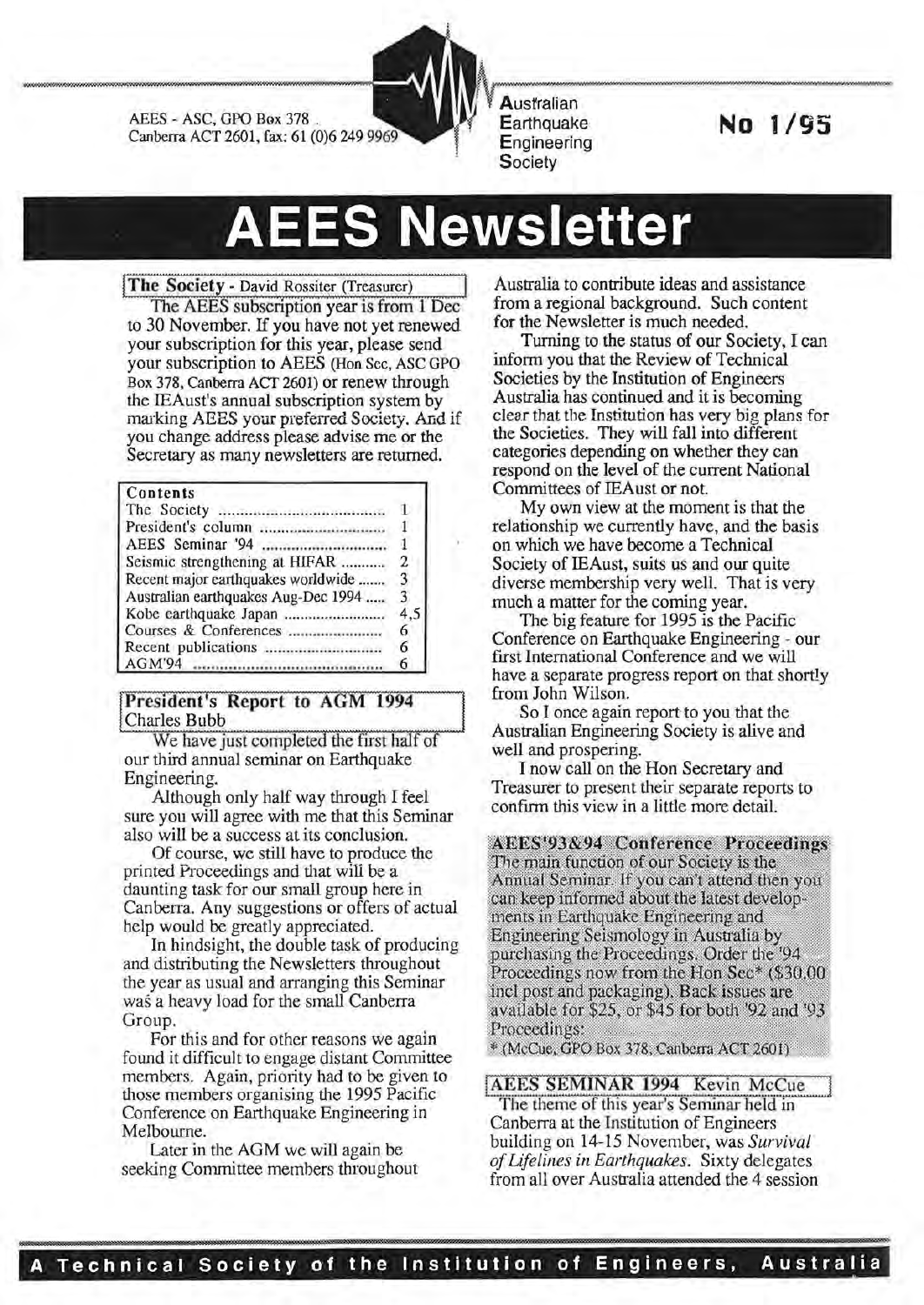AEES - ASC, GPO Box 378 . Canberra ACT 2601, fax: 61 (0)6 249

**Australian Earthquake Engineering Society** 

**No 1/95** 

# **AEES Newsletter**

#### The Society - David Rossiter (Treasurer)

The AEES subscription year is from 1 Dec to 30 November. If you have not yet renewed your subscription for this year, please send your subscription to AEES (Han Sec, ASC GPO Box 378, Canberra ACT 2601) or renew through the IEAust's annual subscription system by marking AEES your preferred Society. And if you change address please advise me or the Secretary as many newsletters are returned.

#### Contents

| Seismic strengthening at HIFAR      | $\overline{2}$ |
|-------------------------------------|----------------|
| Recent major earthquakes worldwide  | 3              |
| Australian earthquakes Aug-Dec 1994 | 3              |
| Kobe earthquake Japan               | 4.5            |
|                                     | 6              |
| Recent publications                 | 6              |
|                                     | 6              |

#### President's Report to AGM 1994 Charles Bubb

We have just completed the first half of our third annual seminar on Earthquake Engineering.

Although only half way through I feel sure you will agree with me that this Seminar also will be a success at its conclusion.

Of course, we still have to produce the printed Proceedings and that will be a daunting task for our small group here in Canberra. Any suggestions or offers of actual help would be greatly appreciated.

In hindsight, the double task of producing and distributing the Newsletters throughout the year as usual and arranging this Seminar was a heavy load for the small Canberra Group.

For this and for other reasons we again found it difficult to engage distant Committee members. Again, priority had to be given to those members organising the 1995 Pacific Conference on Earthquake Engineering in Melbourne.

Later in the AGM we will again be seeking Committee members throughout

Australia to contribute ideas and assistance from a regional background. Such content for the Newsletter is much needed.

Turning to the status of our Society, I can inform you that the Review of Technical Societies by the Institution of Engineers Australia has continued and it is becoming clear that the Institution has very big plans for the Societies. They will fall into different categories depending on whether they can respond on the level of the current National Committees of IEAust or not.

My own view at the moment is that the relationship we currently have, and the basis on which we have become a Technical Society of IEAust, suits us and our quite diverse membership very well. That is very much a matter for the coming year.

The big feature for 1995 is the Pacific Conference on Earthquake Engineering - our first International Conference and we will have a separate progress report on that shortly from John Wilson.

So I once again report to you that the Australian Engineering Society is alive and well and prospering.

I now call on the Hon Secretary and Treasurer to present their separate reports to confirm this view in a little more detail.

**AEES'93&94 Conference Proceedings** The main function of our Society is the Annual Seminar. If you can't attend then you can keep informed about the latest developments in Earthquake Engineering and Engineering Seismology in Australia by purchasing the Proceedings. Order the '94 Proceedings now from the Hon Sec\* (\$30.00) incl post and packaging). Back issues are available for \$25, or \$45 for both '92 and '93 Proceedings:

\* (McCue, GPO Box 378, Canberra ACT 2601)

AEES SEMINAR 1994 Kevin McCue

The theme of this year's Seminar held in Canberra at the Institution of Engineers building on 14-15 November, was *Survival of Lifelines in Earthquakes.* Sixty delegates from all over Australia attended the 4 session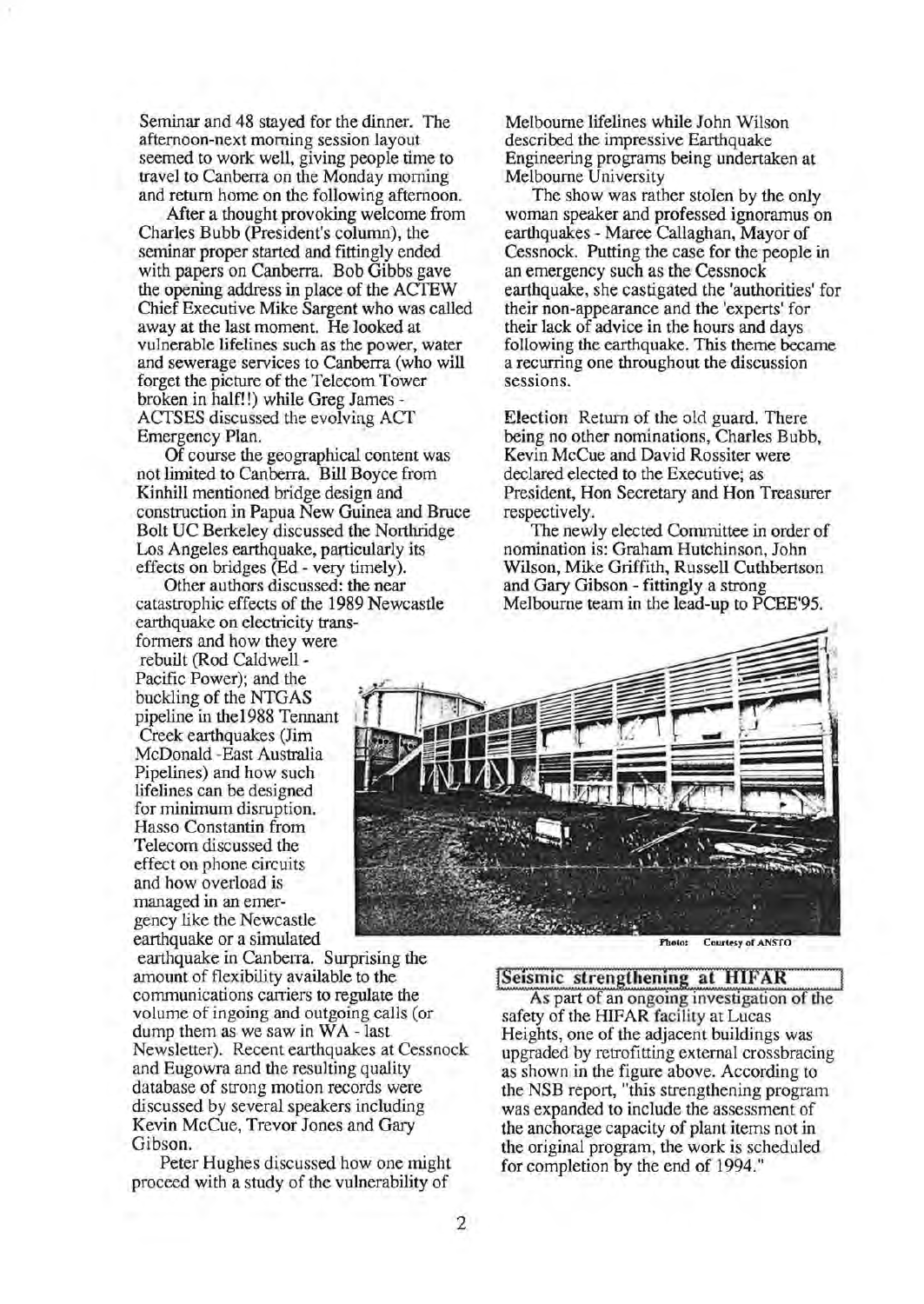Seminar and 48 stayed for the dinner. The afternoon-next morning session layout seemed to work well, giving people time to travel to Canberra on the Monday morning and return home on the following afternoon.

After a thought provoking welcome from Charles Bubb (President's column), the seminar proper started and fittingly ended with papers on Canberra. Bob Gibbs gave the opening address in place of the ACTEW Chief Executive Mike Sargent who was called away at the last moment. He looked at vulnerable lifelines such as the power, water and sewerage services to Canberra (who will forget the picture of the Telecom Tower broken in half!!) while Greg James - ACTSES discussed the evolving ACf Emergency Plan.

Of course the geographical content was not limited to Canberra. Bill Boyce from Kinhill mentioned bridge design and construction in Papua New Guinea and Bruce Bolt UC Berkeley discussed the Northridge Los Angeles earthquake, particularly its effects on bridges (Ed- very timely).

Other authors discussed: the near catastrophic effects of the 1989 Newcastle earthquake on electricity transformers and how they were rebuilt (Rod Caldwell - Pacific Power); and the buckling of the NTGAS pipeline in the 1988 Tennant Creek earthquakes (Jim McDonald -East Australia Pipelines) and how such lifelines can be designed for minimum disruption. Hasso Constantin from Telecom discussed the effect on phone. circuits and how overload is managed in an emergency like the Newcastle earthquake or a simulated

earthquake in Canberra. Surprising the amount of flexibility available to the communications carriers to regulate the volume of in going and outgoing calls (or dump them as we saw in  $WA$  - last Newsletter). Recent earthquakes at Cessnock and Eugowra and the resulting quality database of strong motion records were discussed by several speakers including Kevin McCue, Trevor Jones and Gary Gibson.

Peter Hughes discussed how one might proceed with a study of the vulnerability of

Melbourne lifelines while John Wilson described the impressive Earthquake Engineering programs being undertaken at Melbourne University

The show was rather stolen by the only woman speaker and professed ignoramus on earthquakes - Maree Callaghan, Mayor of Cessnock. Putting the case for the people in an emergency such as the Cessnock earthquake, she castigated the 'authorities' for their non-appearance and the 'experts' for their lack of advice in the hours and days following the earthquake. This theme became a recurring one throughout the discussion sessions.

Election Return of the old guard. There being no other nominations, Charles Bubb, Kevin McCue and David Rossiter were declared elected to the Executive; as President, Hon Secretary and Hon Treasurer respectively.

The newly elected Committee in order of nomination is: Graham Hutchinson, John Wilson, Mike Griffith, Russell Cuthbertson and Gary Gibson- fittingly a strong Melbourne team in the lead-up to PCEE'95.



Photo: Courtesy of ANSTO

#### [Seismic strengthening at HIFAR

As part of an ongomg investigation of the safety of the HIFAR facility at Lucas Heights, one of the adjacent buildings was upgraded by retrofitting external crossbracing as shown in the figure above. According to the NSB report, "this strengthening program was expanded to include the assessment of the anchorage capacity of plant items not in the original program, the work is scheduled for completion by the end of 1994."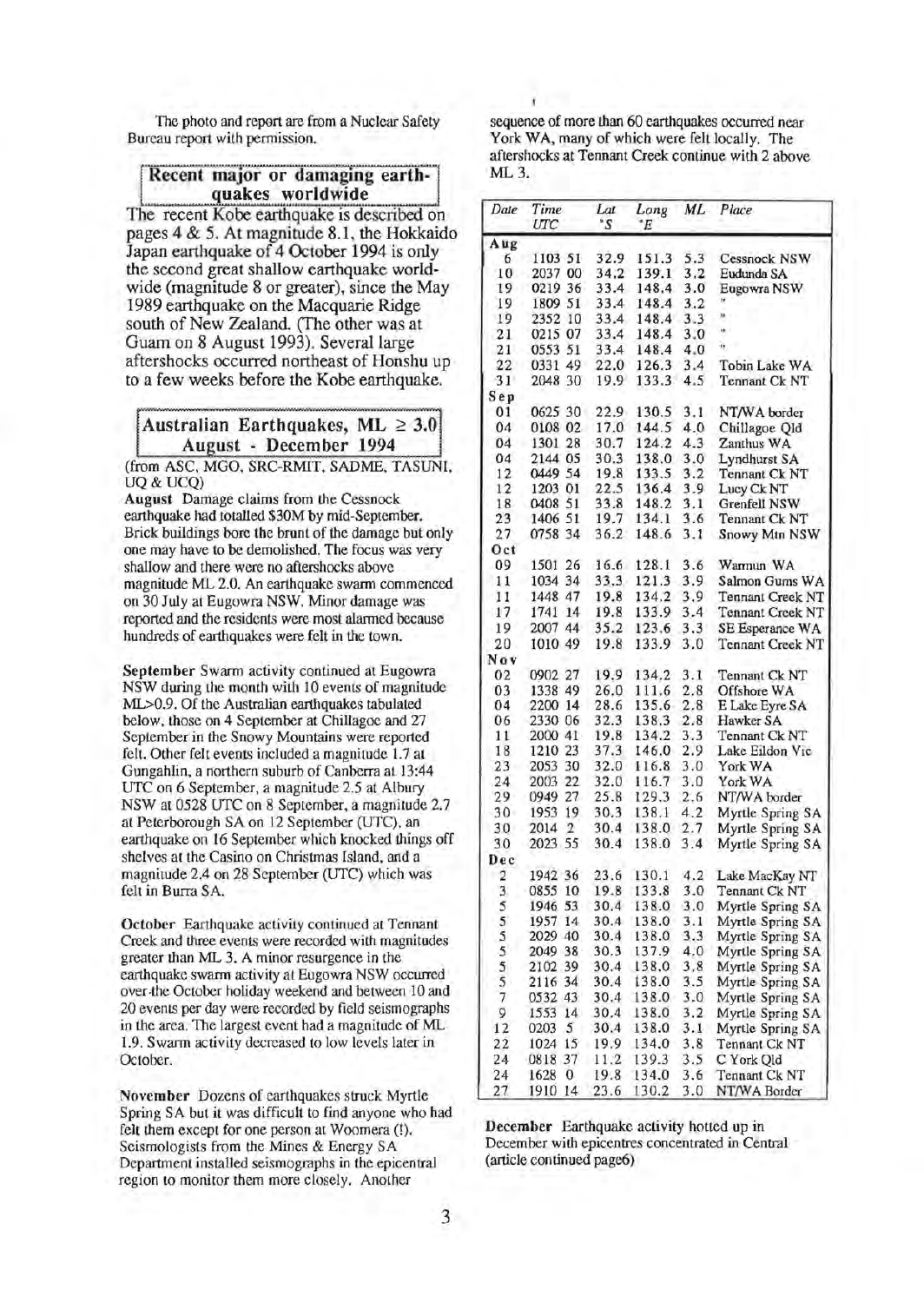The photo and report are from a Nuclear Safety Bureau report with permission.

### uakes worldwide Recent major or damaging earth-

The recent Kobe earthquake is described on pages 4 & 5. At magnirude 8.1, the Hokkaido Japan earthquake of 4 October 1994 is only the second great shallow earthquake worldwide (magnitude 8 or greater), since the May 1989 earthquake on the Macquarie Ridge south of New Zealand. (fhe other was at Guam on 8 August 1993). Several large aftershocks occurred northeast of Honshu up to a few weeks before the Kobe earthquake.

Australian Earthquakes, ML  $\geq 3.0$ August - December 1994

(from ASC, MGO, SRC-RMIT, SADME, TASUNI, UQ&UCQ)

August Damage claims from the Cessnock earthquake had totalled \$30M by mid-September. Brick buildings bore the brunt of the damage but only one may have to be demolished. The focus was very shallow and there were no aftershocks above magnitude ML 2.0. An earthquake swarm commenced on 30 July at Eugowra NSW. Minor damage was reported and the residents were most alarmed because hundreds of earthquakes were felt in the town.

September Swarm activity continued at Eugowra NSW during the month with 10 events of magnitude ML>0.9. Of the Australian earthquakes tabulated below, those on 4 September at Chillagoe and 27 September in the Snowy Mountains were reported felt. Other felt events included a magnitude 1.7 at Gungahlin, a northern suburb of Canberra at 13:44 UTC on 6 September, a magnitude 2.5 at Albury NSW at 0528 UTC on 8 September, a magnitude 2.7 at Peterborough SA on 12 September (UTC), an earthquake on 16 September which knocked things off shelves at the Casino on Christmas Island, and a magnirude 2.4 on 28 September (UTC) which was felt in Burra SA.

October Earthquake activity continued at Tennant Creek and three events were recorded with magnitudes greater than ML 3. A minor resurgence in the earthquake swarm activity at Eugowra NSW occurred over-the October holiday weekend and between 10 and 20 events per day were recorded by field seismographs in the area. The largest event had a magnitude of ML 1.9. Swarm activity decreased to low levels later in October.

November Dozens of earthquakes struck Myrtle Spring SA but it was difficult to find anyone who had felt them except for one person at Woomera (!). Seismologists from the Mines & Energy SA Department installed seismographs in the epicentral region to monitor them more closely. Another

sequence of more than 60 earthquakes occurred near York WA, many of which were felt locally. The aftershocks at Tennant Creek continue with 2 above ML 3.

| Date           | Time<br>UTC    | Lat<br>°S | Long<br>°E | ML  | Place                   |
|----------------|----------------|-----------|------------|-----|-------------------------|
| Aug            |                |           |            |     |                         |
| 6              | 1103 51        | 32.9      | 151.3      | 5.3 | Cessnock NSW            |
| 10             | 00<br>2037     | 34.2      | 139.1      | 3,2 | Eudunda SA              |
| 19             | 0219 36        | 33.4      | 148.4      | 3.0 | Eugowra NSW             |
| 19             | 1809 51        | 33.4      | 148.4      | 3.2 |                         |
| 19             | 10<br>2352     | 33.4      | 148.4      | 3.3 | m                       |
| 21             | 0215 07        | 33.4      | 148.4      | 3.0 | w                       |
| 21             | 0553 51        | 33.4      | 148.4      | 4.0 | n                       |
| 22             | 0331 49        | 22.0      | 126.3      | 3.4 | Tobin Lake WA           |
| 31             | 2048 30        | 19.9      | 133.3      | 4.5 | Tennant Ck NT           |
|                |                |           |            |     |                         |
| Sep            |                |           |            |     |                         |
| 01             | 0625 30        | 22.9      | 130.5      | 3.1 | NT/WA border            |
| 04             | 0108 02        | 17.0      | 144.5      | 4.0 | Chillagoe Qld           |
| 04             | 1301 28        | 30.7      | 124.2      | 4.3 | Zanthus WA              |
| 04             | 2144 05        | 30.3      | 138.0      | 3.0 | Lyndhurst SA            |
| 12             | 0449 54        | 19.8      | 133.5      | 3.2 | Tennant Ck NT           |
| 12             | 1203 01        | 22.5      | 136.4      | 3.9 | Lucy Ck NT              |
| 18             | 0408 51        | 33.8      | 148.2      | 3.1 | Grenfell NSW            |
| 23             | 1406 51        | 19.7      | 134.1      | 3.6 | Tennant Ck NT           |
| 27             | 0758 34        | 36.2      | 148.6      | 3.1 | Snowy Mtn NSW           |
| Oct            |                |           |            |     |                         |
| 09             | 1501 26        | 16.6      | 128.1      | 3.6 | Warmun WA               |
| 11             | 1034 34        | 33.3      | 121.3      | 3.9 | Salmon Gums WA          |
| 11             | 1448 47        | 19.8      | 134.2      | 3.9 | <b>Tennant Creek NT</b> |
|                |                |           |            |     |                         |
| 17             | 1741 14        | 19.8      | 133.9      | 3.4 | Tennant Creek NT        |
| 19             | 2007 44        | 35.2      | 123.6      | 3.3 | SE Esperance WA         |
| 20             | 1010 49        | 19.8      | 133.9      | 3.0 | <b>Tennant Creek NT</b> |
| Nov            |                |           |            |     |                         |
| 02             | 0902 27        | 19.9      | 134.2      | 3.1 | Tennant Ck NT           |
| 03             | 1338 49        | 26.0      | 111.6      | 2.8 | Offshore WA             |
| 04             | 2200 14        | 28.6      | 135.6      | 2.8 | E Lake Eyre SA          |
| 06             | 2330 06        | 32.3      | 138.3      | 2.8 | Hawker SA               |
| 11             | 2000 41        | 19.8      | 134.2      | 3.3 | Tennant Ck NT           |
| 18             | 1210 23        | 37.3      | 146.0      | 2.9 | Lake Eildon Vic         |
| 23             | 2053 30        | 32.0      | 116.8      | 3.0 | York WA                 |
| 24             | 2003 22        | 32.0      | 116.7      | 3.0 | York WA                 |
| 29             | 0949 27        | 25.8      | 129.3      | 2.6 | NT/WA border            |
| 30             | 19<br>1953     | 30.3      | 138.1      | 4.2 | Myrtle Spring SA        |
|                | $\overline{2}$ | 30.4      |            |     |                         |
| 30             | 2014           |           | 138.0      | 2.7 | Myrtle Spring SA        |
| 30             | 2023 55        | 30.4      | 138.0      | 3.4 | Myrtle Spring SA        |
| Dec            |                |           |            |     |                         |
| 2              | 1942 36        | 23.6      | 130.1      | 4.2 | Lake MacKay NT          |
| 3              | 0855 10        | 19.8      | 133.8      | 3.0 | Tennant Ck NT           |
| 5              | 1946 53        | 30.4      | 138.0      | 3.0 | Myrtle Spring SA        |
| 5              | 1957 14        | 30.4      | 138.0      | 3.1 | Myrtle Spring SA        |
| $\frac{5}{5}$  | 2029 40        | 30.4      | 138.0      | 3.3 | Myrtle Spring SA        |
|                | 2049 38        | 30.3      | 137.9      | 4.0 | Myrtle Spring SA        |
|                | 2102 39        | 30.4      | 138.0      | 3,8 | Myrtle Spring SA        |
| $\frac{5}{5}$  | 2116 34        | 30.4      | 138.0      | 3.5 | Myrtle Spring SA        |
| $\overline{7}$ | 0532 43        | 30.4      | 138.0      | 3.0 | Myrtle Spring SA        |
| 9              | 1553 14        | 30.4      | 138.0      | 3.2 | Myrtle Spring SA        |
|                | 0203<br>5      | 30.4      |            |     |                         |
| 12             |                |           | 138.0      | 3.1 | Myrtle Spring SA        |
| 22             | 1024 15        | 19.9<br>ŧ | 134.0      | 3.8 | Tennant Ck NT           |
| 24             | 0818 37        | 11.2      | 139.3      | 3.5 | C York Qld              |
| 24             | 1628 0         | 19.8      | 134.0      | 3.6 | Tennant Ck NT           |
| 27             | 1910 14        | 23.6      | 130.2      | 3.0 | NT/WA Border            |

December Earthquake activity hotted up in December with epicentres concentrated in Central (article continued page6)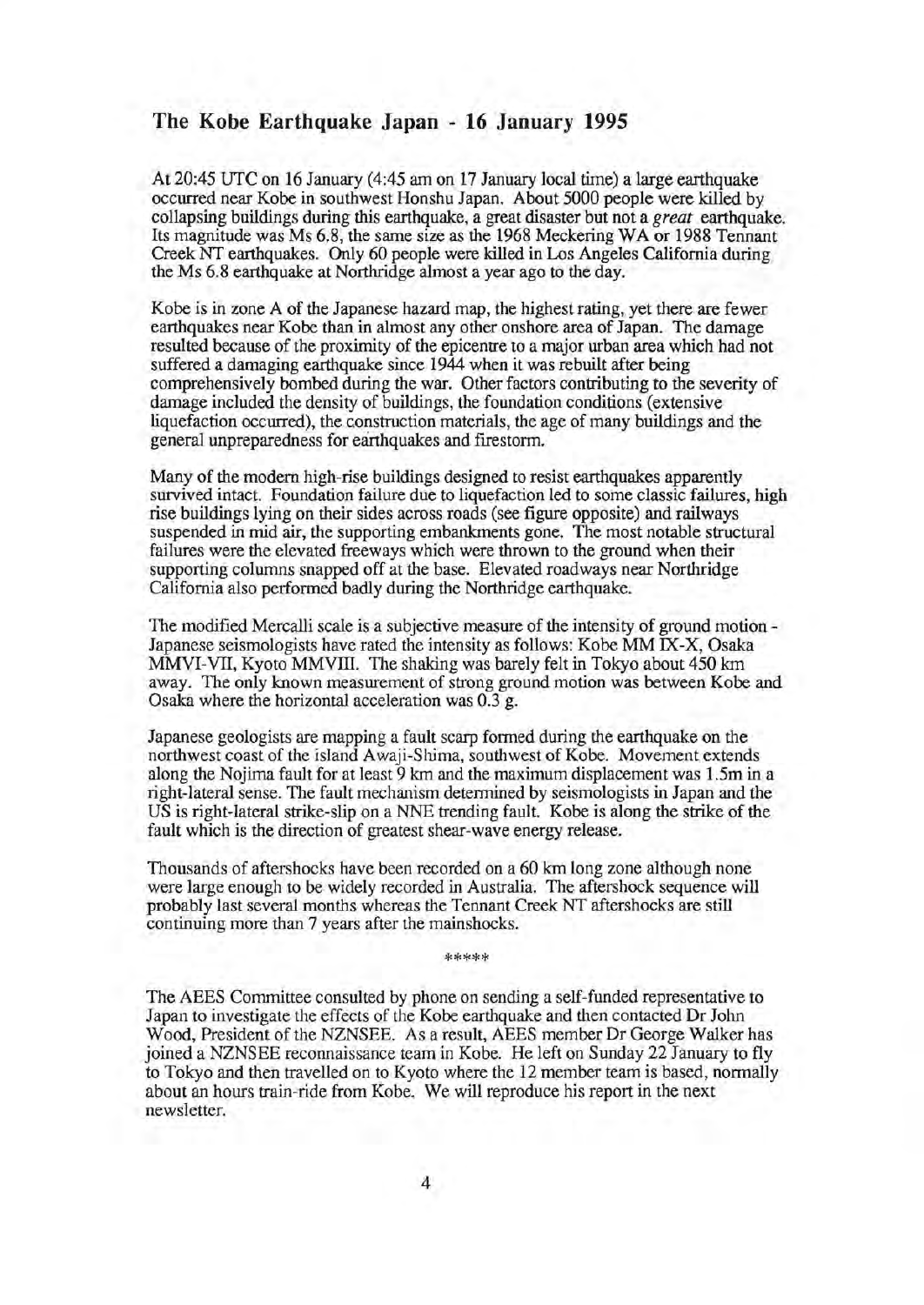## **The Kobe Earthquake Japan - 16 January 1995**

At 20:45 UTC on 16 January (4:45am on 17 January local time) a large earthquake occurred near Kobe in southwest Honshu Japan. About 5000 people were killed by collapsing buildings during this earthquake, a great disaster but not a *great* earthquake. Its magnitude was Ms 6.8, the same size as the 1968 Meckering WA or 1988 Tennant Creek NT earthquakes. Only 60 people were killed in Los Angeles California during the Ms 6.8 earthquake at Northridge almost a year ago to the day.

Kobe is in zone A of the Japanese hazard map, the highest rating, yet there are fewer earthquakes near Kobe than in almost any other onshore area of Japan. The damage resulted because of the proximity of the epicentre to a major urban area which had not suffered a damaging earthquake since 1944 when it was rebuilt after being comprehensively bombed during the war. Other factors contributing to the severity of damage included the density of buildings, the foundation conditions (extensive liquefaction occurred), the construction materials, the age of many buildings and the general unpreparedness for earthquakes and frrestorm.

Many of the modern high-rise buildings designed to resist earthquakes apparently survived intact. Foundation failure due to liquefaction led to some classic failures, high rise buildings lying on their sides across roads (see figure opposite) and railways suspended in mid air, the supporting embankments gone. The most notable structural failures were the elevated freeways which were thrown to the ground when their supporting columns snapped off at the base. Elevated roadways near Northridge California also performed badly during the Northridge earthquake.

The modified Mercalli scale is a subjective measure of the intensity of ground motion - Japanese seismologists have rated the intensity as follows: Kobe MM IX-X, Osaka MMVI-VII, Kyoto MMVIII. The shaking was barely felt in Tokyo about 450 km away. The only known measurement of strong ground motion was between Kobe and Osaka where the horizontal acceleration was 0.3 g.

Japanese geologists are mapping a fault scarp formed during the earthquake on the northwest coast of the island Awaji-Shima, southwest of Kobe. Movement extends along the Nojima fault for at least 9 km and the maximum displacement was 1.5m in a right-lateral sense. The fault mechanism determined by seismologists in Japan and the US is right-lateral strike-slip on a NNE trending fault. Kobe is along the strike of the fault which is the direction of greatest shear-wave energy release.

Thousands of aftershocks have been recorded on a 60 km long zone although none were large enough to be widely recorded in Australia. The aftershock sequence will probably last several months whereas the Tennant Creek NT aftershocks are still continuing more than 7 years after the mainshocks.

\*\*\*\*\*

The AEES Committee consulted by phone on sending a self-funded representative to Japan to investigate the effects of the Kobe earthquake and then contacted Dr John Wood, President of the NZNSEE. As a result, AEES member Dr George Walker has joined a NZNSEE reconnaissance team in Kobe. He left on Sunday 22 January to fly to Tokyo and then travelled on to Kyoto where the 12 member team is based, normally about an hours train-ride from Kobe. We will reproduce his report in the next newsletter.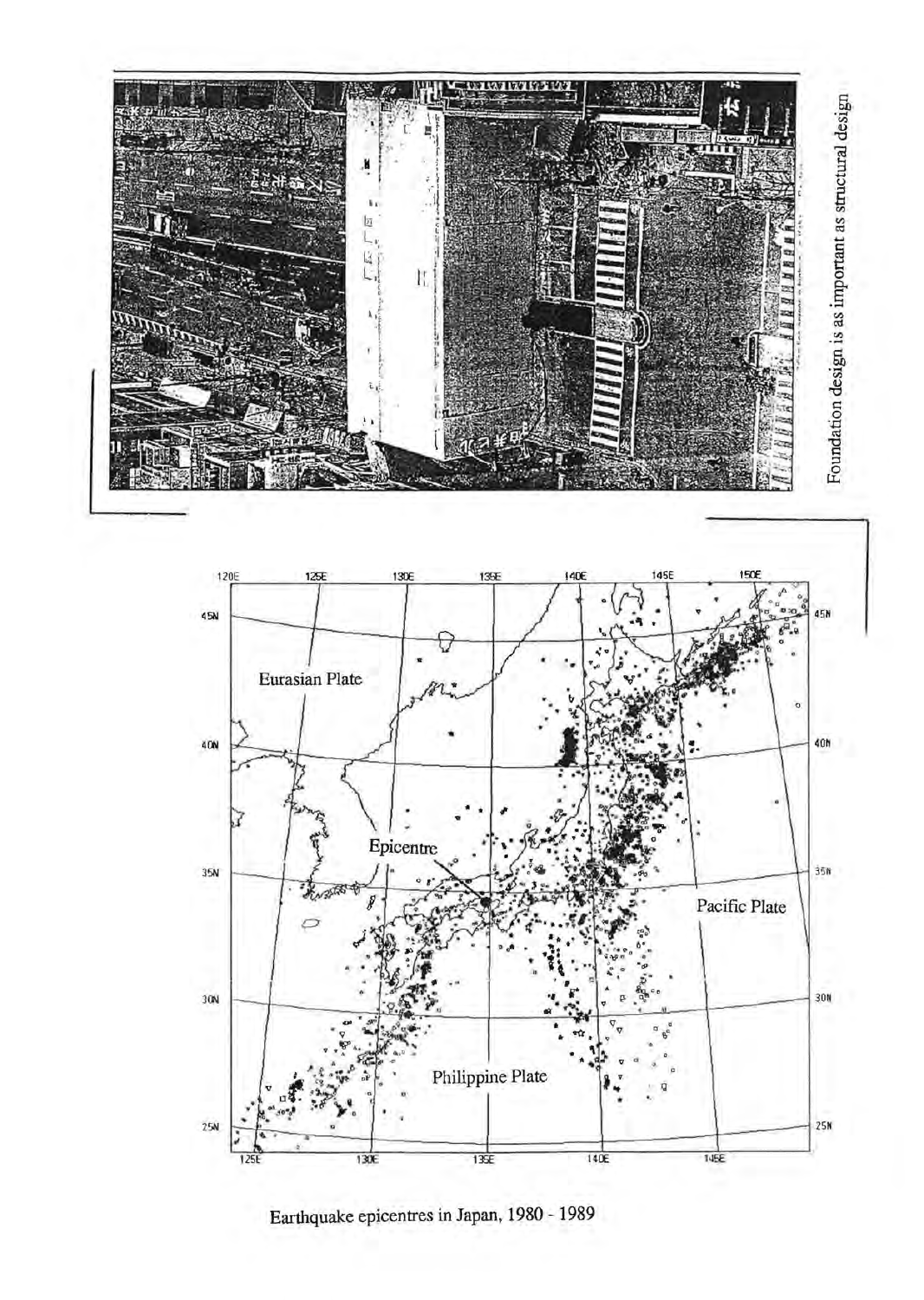



Earthquake epicentres in Japan, 1980 - 1989